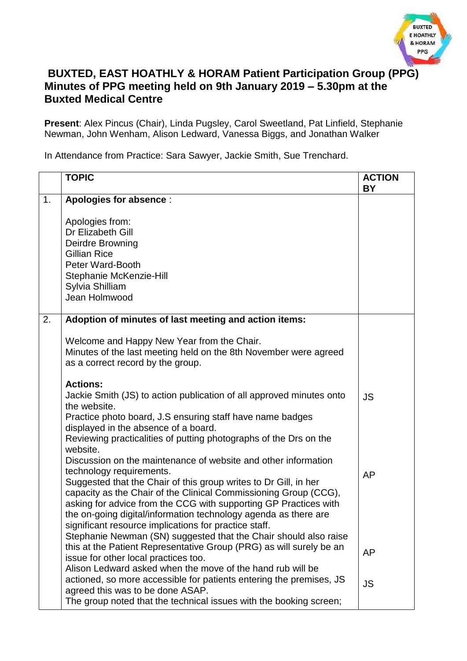

## **BUXTED, EAST HOATHLY & HORAM Patient Participation Group (PPG) Minutes of PPG meeting held on 9th January 2019 – 5.30pm at the Buxted Medical Centre**

**Present**: Alex Pincus (Chair), Linda Pugsley, Carol Sweetland, Pat Linfield, Stephanie Newman, John Wenham, Alison Ledward, Vanessa Biggs, and Jonathan Walker

In Attendance from Practice: Sara Sawyer, Jackie Smith, Sue Trenchard.

|    | <b>TOPIC</b>                                                                                                                                                                                                                                                                                                                                                     | <b>ACTION</b><br><b>BY</b> |
|----|------------------------------------------------------------------------------------------------------------------------------------------------------------------------------------------------------------------------------------------------------------------------------------------------------------------------------------------------------------------|----------------------------|
| 1. | <b>Apologies for absence:</b>                                                                                                                                                                                                                                                                                                                                    |                            |
|    | Apologies from:<br>Dr Elizabeth Gill<br><b>Deirdre Browning</b><br><b>Gillian Rice</b><br>Peter Ward-Booth<br>Stephanie McKenzie-Hill<br>Sylvia Shilliam<br>Jean Holmwood                                                                                                                                                                                        |                            |
| 2. | Adoption of minutes of last meeting and action items:                                                                                                                                                                                                                                                                                                            |                            |
|    | Welcome and Happy New Year from the Chair.<br>Minutes of the last meeting held on the 8th November were agreed<br>as a correct record by the group.                                                                                                                                                                                                              |                            |
|    | <b>Actions:</b><br>Jackie Smith (JS) to action publication of all approved minutes onto<br>the website.                                                                                                                                                                                                                                                          | <b>JS</b>                  |
|    | Practice photo board, J.S ensuring staff have name badges                                                                                                                                                                                                                                                                                                        |                            |
|    | displayed in the absence of a board.<br>Reviewing practicalities of putting photographs of the Drs on the<br>website.                                                                                                                                                                                                                                            |                            |
|    | Discussion on the maintenance of website and other information                                                                                                                                                                                                                                                                                                   |                            |
|    | technology requirements.<br>Suggested that the Chair of this group writes to Dr Gill, in her<br>capacity as the Chair of the Clinical Commissioning Group (CCG),<br>asking for advice from the CCG with supporting GP Practices with<br>the on-going digital/information technology agenda as there are<br>significant resource implications for practice staff. | AP                         |
|    | Stephanie Newman (SN) suggested that the Chair should also raise                                                                                                                                                                                                                                                                                                 |                            |
|    | this at the Patient Representative Group (PRG) as will surely be an<br>issue for other local practices too.                                                                                                                                                                                                                                                      | AP                         |
|    | Alison Ledward asked when the move of the hand rub will be<br>actioned, so more accessible for patients entering the premises, JS<br>agreed this was to be done ASAP.                                                                                                                                                                                            | <b>JS</b>                  |
|    | The group noted that the technical issues with the booking screen;                                                                                                                                                                                                                                                                                               |                            |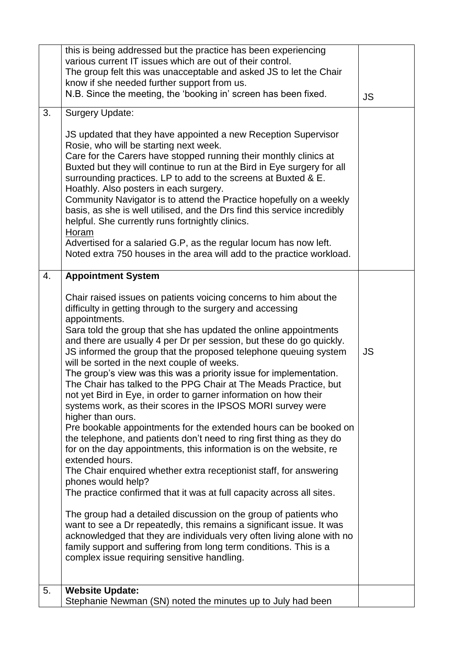| 3. | this is being addressed but the practice has been experiencing<br>various current IT issues which are out of their control.<br>The group felt this was unacceptable and asked JS to let the Chair<br>know if she needed further support from us.<br>N.B. Since the meeting, the 'booking in' screen has been fixed.<br><b>Surgery Update:</b><br>JS updated that they have appointed a new Reception Supervisor<br>Rosie, who will be starting next week.<br>Care for the Carers have stopped running their monthly clinics at<br>Buxted but they will continue to run at the Bird in Eye surgery for all<br>surrounding practices. LP to add to the screens at Buxted & E.<br>Hoathly. Also posters in each surgery.<br>Community Navigator is to attend the Practice hopefully on a weekly<br>basis, as she is well utilised, and the Drs find this service incredibly<br>helpful. She currently runs fortnightly clinics.<br><b>Horam</b><br>Advertised for a salaried G.P, as the regular locum has now left.<br>Noted extra 750 houses in the area will add to the practice workload.                                                                                                                                                                                                                                                                                                                                                                                                             | JS |
|----|--------------------------------------------------------------------------------------------------------------------------------------------------------------------------------------------------------------------------------------------------------------------------------------------------------------------------------------------------------------------------------------------------------------------------------------------------------------------------------------------------------------------------------------------------------------------------------------------------------------------------------------------------------------------------------------------------------------------------------------------------------------------------------------------------------------------------------------------------------------------------------------------------------------------------------------------------------------------------------------------------------------------------------------------------------------------------------------------------------------------------------------------------------------------------------------------------------------------------------------------------------------------------------------------------------------------------------------------------------------------------------------------------------------------------------------------------------------------------------------------------------|----|
| 4. | <b>Appointment System</b><br>Chair raised issues on patients voicing concerns to him about the<br>difficulty in getting through to the surgery and accessing<br>appointments.<br>Sara told the group that she has updated the online appointments<br>and there are usually 4 per Dr per session, but these do go quickly.<br>JS informed the group that the proposed telephone queuing system<br>will be sorted in the next couple of weeks.<br>The group's view was this was a priority issue for implementation.<br>The Chair has talked to the PPG Chair at The Meads Practice, but<br>not yet Bird in Eye, in order to garner information on how their<br>systems work, as their scores in the IPSOS MORI survey were<br>higher than ours.<br>Pre bookable appointments for the extended hours can be booked on<br>the telephone, and patients don't need to ring first thing as they do<br>for on the day appointments, this information is on the website, re<br>extended hours.<br>The Chair enquired whether extra receptionist staff, for answering<br>phones would help?<br>The practice confirmed that it was at full capacity across all sites.<br>The group had a detailed discussion on the group of patients who<br>want to see a Dr repeatedly, this remains a significant issue. It was<br>acknowledged that they are individuals very often living alone with no<br>family support and suffering from long term conditions. This is a<br>complex issue requiring sensitive handling. | JS |
| 5. | <b>Website Update:</b><br>Stephanie Newman (SN) noted the minutes up to July had been                                                                                                                                                                                                                                                                                                                                                                                                                                                                                                                                                                                                                                                                                                                                                                                                                                                                                                                                                                                                                                                                                                                                                                                                                                                                                                                                                                                                                  |    |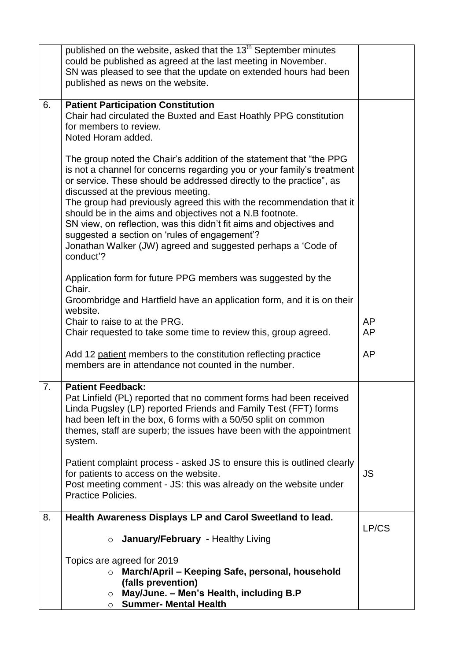|    | Topics are agreed for 2019<br>March/April - Keeping Safe, personal, household<br>$\circ$<br>(falls prevention)<br>May/June. - Men's Health, including B.P<br>$\circ$<br><b>Summer- Mental Health</b><br>$\circ$                                                                                                                                                                                                                                                                                                                                                                                     |                 |
|----|-----------------------------------------------------------------------------------------------------------------------------------------------------------------------------------------------------------------------------------------------------------------------------------------------------------------------------------------------------------------------------------------------------------------------------------------------------------------------------------------------------------------------------------------------------------------------------------------------------|-----------------|
|    | January/February - Healthy Living<br>$\circ$                                                                                                                                                                                                                                                                                                                                                                                                                                                                                                                                                        | LP/CS           |
| 8. | for patients to access on the website.<br>Post meeting comment - JS: this was already on the website under<br><b>Practice Policies.</b><br>Health Awareness Displays LP and Carol Sweetland to lead.                                                                                                                                                                                                                                                                                                                                                                                                | <b>JS</b>       |
| 7. | <b>Patient Feedback:</b><br>Pat Linfield (PL) reported that no comment forms had been received<br>Linda Pugsley (LP) reported Friends and Family Test (FFT) forms<br>had been left in the box, 6 forms with a 50/50 split on common<br>themes, staff are superb; the issues have been with the appointment<br>system.<br>Patient complaint process - asked JS to ensure this is outlined clearly                                                                                                                                                                                                    |                 |
|    | Add 12 patient members to the constitution reflecting practice<br>members are in attendance not counted in the number.                                                                                                                                                                                                                                                                                                                                                                                                                                                                              | AP              |
|    | Application form for future PPG members was suggested by the<br>Chair.<br>Groombridge and Hartfield have an application form, and it is on their<br>website.<br>Chair to raise to at the PRG.<br>Chair requested to take some time to review this, group agreed.                                                                                                                                                                                                                                                                                                                                    | <b>AP</b><br>AP |
|    | The group noted the Chair's addition of the statement that "the PPG<br>is not a channel for concerns regarding you or your family's treatment<br>or service. These should be addressed directly to the practice", as<br>discussed at the previous meeting.<br>The group had previously agreed this with the recommendation that it<br>should be in the aims and objectives not a N.B footnote.<br>SN view, on reflection, was this didn't fit aims and objectives and<br>suggested a section on 'rules of engagement'?<br>Jonathan Walker (JW) agreed and suggested perhaps a 'Code of<br>conduct'? |                 |
| 6. | <b>Patient Participation Constitution</b><br>Chair had circulated the Buxted and East Hoathly PPG constitution<br>for members to review.<br>Noted Horam added.                                                                                                                                                                                                                                                                                                                                                                                                                                      |                 |
|    | published on the website, asked that the 13 <sup>th</sup> September minutes<br>could be published as agreed at the last meeting in November.<br>SN was pleased to see that the update on extended hours had been<br>published as news on the website.                                                                                                                                                                                                                                                                                                                                               |                 |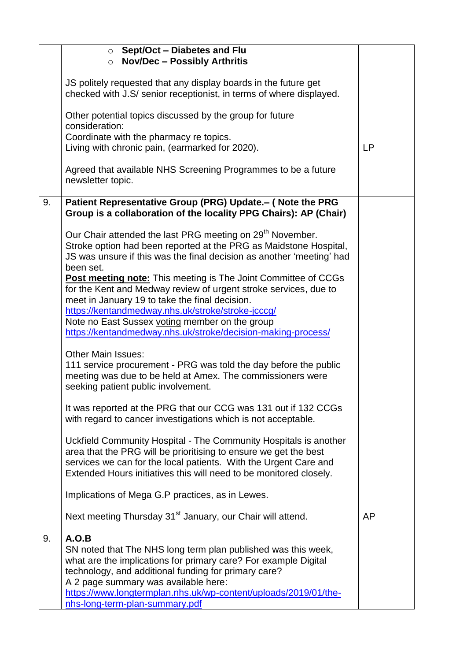|    | Sept/Oct – Diabetes and Flu<br>$\circ$<br><b>Nov/Dec - Possibly Arthritis</b><br>$\circ$                                                                                                                                                                                                                                                                           |           |
|----|--------------------------------------------------------------------------------------------------------------------------------------------------------------------------------------------------------------------------------------------------------------------------------------------------------------------------------------------------------------------|-----------|
|    | JS politely requested that any display boards in the future get<br>checked with J.S/ senior receptionist, in terms of where displayed.                                                                                                                                                                                                                             |           |
|    | Other potential topics discussed by the group for future<br>consideration:                                                                                                                                                                                                                                                                                         |           |
|    | Coordinate with the pharmacy re topics.<br>Living with chronic pain, (earmarked for 2020).                                                                                                                                                                                                                                                                         | <b>LP</b> |
|    | Agreed that available NHS Screening Programmes to be a future<br>newsletter topic.                                                                                                                                                                                                                                                                                 |           |
| 9. | Patient Representative Group (PRG) Update .- ( Note the PRG<br>Group is a collaboration of the locality PPG Chairs): AP (Chair)                                                                                                                                                                                                                                    |           |
|    | Our Chair attended the last PRG meeting on 29 <sup>th</sup> November.<br>Stroke option had been reported at the PRG as Maidstone Hospital,<br>JS was unsure if this was the final decision as another 'meeting' had<br>been set.                                                                                                                                   |           |
|    | <b>Post meeting note:</b> This meeting is The Joint Committee of CCGs<br>for the Kent and Medway review of urgent stroke services, due to<br>meet in January 19 to take the final decision.<br>https://kentandmedway.nhs.uk/stroke/stroke-jcccg/<br>Note no East Sussex voting member on the group<br>https://kentandmedway.nhs.uk/stroke/decision-making-process/ |           |
|    | <b>Other Main Issues:</b><br>111 service procurement - PRG was told the day before the public<br>meeting was due to be held at Amex. The commissioners were<br>seeking patient public involvement.                                                                                                                                                                 |           |
|    | It was reported at the PRG that our CCG was 131 out if 132 CCGs<br>with regard to cancer investigations which is not acceptable.                                                                                                                                                                                                                                   |           |
|    | Uckfield Community Hospital - The Community Hospitals is another<br>area that the PRG will be prioritising to ensure we get the best<br>services we can for the local patients. With the Urgent Care and<br>Extended Hours initiatives this will need to be monitored closely.                                                                                     |           |
|    | Implications of Mega G.P practices, as in Lewes.                                                                                                                                                                                                                                                                                                                   |           |
|    | Next meeting Thursday 31 <sup>st</sup> January, our Chair will attend.                                                                                                                                                                                                                                                                                             | AP        |
| 9. | A.O.B<br>SN noted that The NHS long term plan published was this week,<br>what are the implications for primary care? For example Digital<br>technology, and additional funding for primary care?<br>A 2 page summary was available here:<br>https://www.longtermplan.nhs.uk/wp-content/uploads/2019/01/the-<br>nhs-long-term-plan-summary.pdf                     |           |